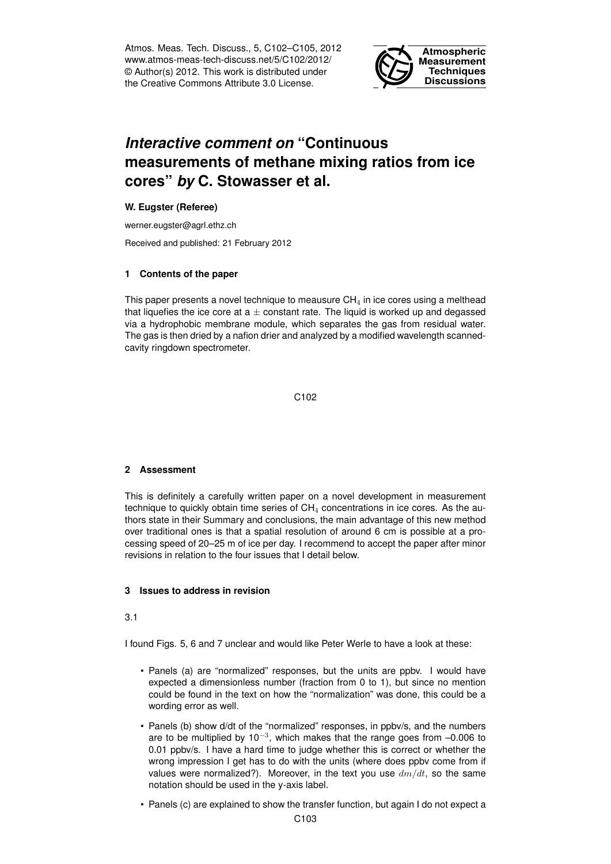Atmos. Meas. Tech. Discuss., 5, C102–C105, 2012 www.atmos-meas-tech-discuss.net/5/C102/2012/ © Author(s) 2012. This work is distributed under the Creative Commons Attribute 3.0 License.



# *Interactive comment on* **"Continuous measurements of methane mixing ratios from ice cores"** *by* **C. Stowasser et al.**

# **W. Eugster (Referee)**

werner.eugster@agrl.ethz.ch

Received and published: 21 February 2012

### **1 Contents of the paper**

This paper presents a novel technique to meausure  $CH_4$  in ice cores using a melthead that liquefies the ice core at  $a \pm$  constant rate. The liquid is worked up and degassed via a hydrophobic membrane module, which separates the gas from residual water. The gas is then dried by a nafion drier and analyzed by a modified wavelength scannedcavity ringdown spectrometer.

C102

# **2 Assessment**

This is definitely a carefully written paper on a novel development in measurement technique to quickly obtain time series of  $CH<sub>4</sub>$  concentrations in ice cores. As the authors state in their Summary and conclusions, the main advantage of this new method over traditional ones is that a spatial resolution of around 6 cm is possible at a processing speed of 20–25 m of ice per day. I recommend to accept the paper after minor revisions in relation to the four issues that I detail below.

### **3 Issues to address in revision**

#### 3.1

I found Figs. 5, 6 and 7 unclear and would like Peter Werle to have a look at these:

- Panels (a) are "normalized" responses, but the units are ppbv. I would have expected a dimensionless number (fraction from 0 to 1), but since no mention could be found in the text on how the "normalization" was done, this could be a wording error as well.
- Panels (b) show d/dt of the "normalized" responses, in ppbv/s, and the numbers are to be multiplied by 10<sup>-3</sup>, which makes that the range goes from  $-0.006$  to 0.01 ppbv/s. I have a hard time to judge whether this is correct or whether the wrong impression I get has to do with the units (where does ppbv come from if values were normalized?). Moreover, in the text you use  $dm/dt$ , so the same notation should be used in the y-axis label.
- Panels (c) are explained to show the transfer function, but again I do not expect a